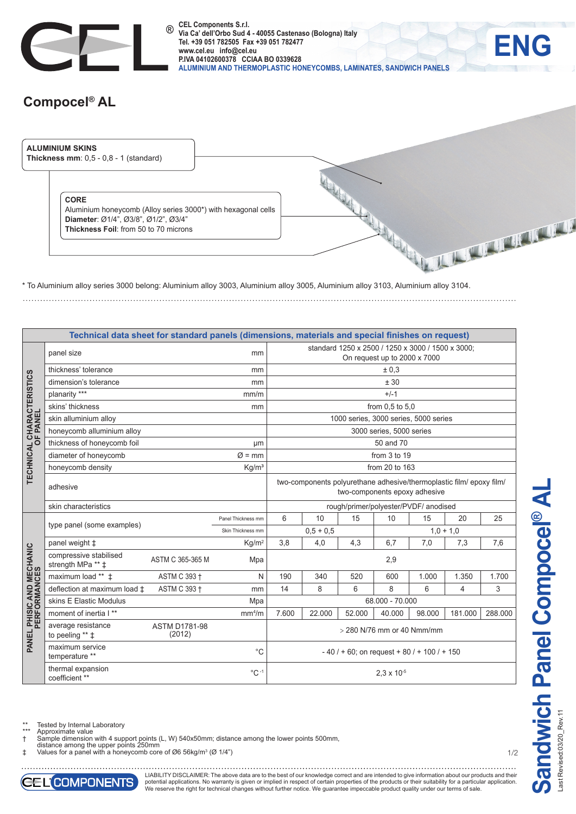

**CEL Components S.r.l. ® Via Ca' dell'Orbo Sud 4 - 40055 Castenaso (Bologna) Italy Tel. +39 051 782505 Fax +39 051 782477 www.cel.eu info@cel.eu P.IVA 04102600378 CCIAA BO 0339628 ALUMINIUM AND THERMOPLASTIC HONEYCOMBS, LAMINATES, SANDWICH PANELS**

## **Compocel® AL**

. . . . . . . . . . . . . . . .



\* To Aluminium alloy series 3000 belong: Aluminium alloy 3003, Aluminium alloy 3005, Aluminium alloy 3103, Aluminium alloy 3104.

|                                              | Technical data sheet for standard panels (dimensions, materials and special finishes on request) |                    |                                                                                                       |                                       |        |        |        |         |         |       |  |  |
|----------------------------------------------|--------------------------------------------------------------------------------------------------|--------------------|-------------------------------------------------------------------------------------------------------|---------------------------------------|--------|--------|--------|---------|---------|-------|--|--|
|                                              | panel size                                                                                       | mm                 | standard 1250 x 2500 / 1250 x 3000 / 1500 x 3000;<br>On request up to 2000 x 7000                     |                                       |        |        |        |         |         |       |  |  |
|                                              | thickness' tolerance                                                                             | mm                 | ± 0.3                                                                                                 |                                       |        |        |        |         |         |       |  |  |
|                                              | dimension's tolerance                                                                            | mm                 | ± 30                                                                                                  |                                       |        |        |        |         |         |       |  |  |
| <b>TECHNICAL CHARACTERISTICS</b><br>OF PANEL | planarity ***                                                                                    |                    | mm/m                                                                                                  | $+/-1$                                |        |        |        |         |         |       |  |  |
|                                              | skins' thickness                                                                                 | mm                 | from 0.5 to 5.0                                                                                       |                                       |        |        |        |         |         |       |  |  |
|                                              | skin alluminium alloy                                                                            |                    |                                                                                                       | 1000 series, 3000 series, 5000 series |        |        |        |         |         |       |  |  |
|                                              | honeycomb alluminium alloy                                                                       |                    | 3000 series, 5000 series                                                                              |                                       |        |        |        |         |         |       |  |  |
|                                              | thickness of honeycomb foil                                                                      | μm                 | 50 and 70                                                                                             |                                       |        |        |        |         |         |       |  |  |
|                                              | diameter of honeycomb                                                                            | $\varnothing$ = mm | from 3 to 19                                                                                          |                                       |        |        |        |         |         |       |  |  |
|                                              | honeycomb density                                                                                | Kg/m <sup>3</sup>  | from 20 to 163                                                                                        |                                       |        |        |        |         |         |       |  |  |
|                                              | adhesive                                                                                         |                    | two-components polyurethane adhesive/thermoplastic film/ epoxy film/<br>two-components epoxy adhesive |                                       |        |        |        |         |         |       |  |  |
|                                              | skin characteristics                                                                             |                    | rough/primer/polyester/PVDF/ anodised                                                                 |                                       |        |        |        |         |         |       |  |  |
|                                              | type panel (some examples)                                                                       | Panel Thickness mm | 6                                                                                                     | 10                                    | 15     | 10     | 15     | 20      | 25      |       |  |  |
|                                              |                                                                                                  | Skin Thickness mm  | $1,0 + 1,0$<br>$0.5 + 0.5$                                                                            |                                       |        |        |        |         |         |       |  |  |
|                                              | panel weight $\ddagger$                                                                          |                    | Kq/m <sup>2</sup>                                                                                     | 3,8                                   | 4,0    | 4,3    | 6.7    | 7,0     | 7,3     | 7,6   |  |  |
|                                              | compressive stabilised<br>strength MPa ** ‡                                                      | Mpa                | 2,9                                                                                                   |                                       |        |        |        |         |         |       |  |  |
|                                              | maximum load ** $\pm$                                                                            | ASTM C 393 +       | N                                                                                                     | 190                                   | 340    | 520    | 600    | 1.000   | 1.350   | 1.700 |  |  |
|                                              | deflection at maximum load ±                                                                     | ASTM C 393 +       | mm                                                                                                    | 14                                    | 8      | 6      | 8      | 6       | 4       | 3     |  |  |
|                                              | skins E Elastic Modulus                                                                          | Mpa                | 68.000 - 70.000                                                                                       |                                       |        |        |        |         |         |       |  |  |
|                                              | moment of inertia I**                                                                            | mm <sup>4</sup> /m | 7.600                                                                                                 | 22.000                                | 52.000 | 40.000 | 98.000 | 181.000 | 288.000 |       |  |  |
| PANEL PHISIC AND MECHANIC<br>PERFORMANCES    | average resistance<br><b>ASTM D1781-98</b><br>(2012)<br>to peeling $**$ $\ddagger$               |                    |                                                                                                       | > 280 N/76 mm or 40 Nmm/mm            |        |        |        |         |         |       |  |  |
|                                              | maximum service<br>temperature **                                                                | $^{\circ}C$        | $-40/$ + 60; on request + 80 / + 100 / + 150                                                          |                                       |        |        |        |         |         |       |  |  |
|                                              | thermal expansion<br>coefficient **                                                              | $^{\circ}$ C-1     | $2.3 \times 10^{-5}$                                                                                  |                                       |        |        |        |         |         |       |  |  |

Tested by Internal Laboratory

\*\*\* Approximate value † Sample dimension with 4 support points (L, W) 540x50mm; distance among the lower points 500mm,

distance among the upper points 250mm ‡ Values for a panel with a honeycomb core of Ø6 56kg/m3 (Ø 1/4")





. . . . . . . . . . . . . . LIABILITY DISCLAIMER: The above data are to the best of our knowledge correct and are intended to give information about our products and their potential applications. No warranty is given or implied in respect of certain properties of the products or their suitability for a particular application.<br>We reserve the right for technical changes without further notice.

1/2

**ENG**